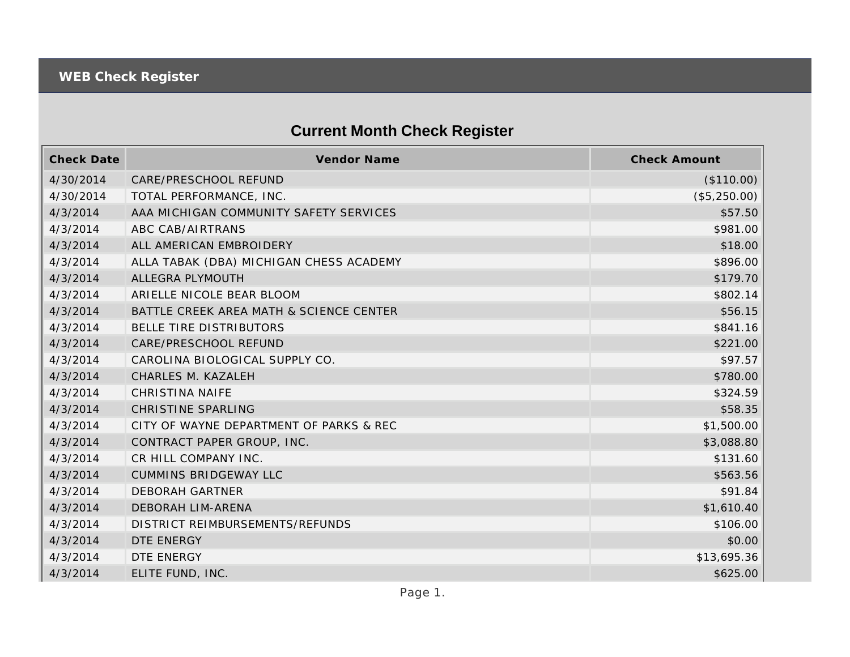## **Current Month Check Register**

| <b>Check Date</b> | Vendor Name                             | <b>Check Amount</b> |
|-------------------|-----------------------------------------|---------------------|
| 4/30/2014         | CARE/PRESCHOOL REFUND                   | (\$110.00)          |
| 4/30/2014         | TOTAL PERFORMANCE, INC.                 | (\$5,250.00)        |
| 4/3/2014          | AAA MICHIGAN COMMUNITY SAFETY SERVICES  | \$57.50             |
| 4/3/2014          | ABC CAB/AIRTRANS                        | \$981.00            |
| 4/3/2014          | ALL AMERICAN EMBROIDERY                 | \$18.00             |
| 4/3/2014          | ALLA TABAK (DBA) MICHIGAN CHESS ACADEMY | \$896.00            |
| 4/3/2014          | ALLEGRA PLYMOUTH                        | \$179.70            |
| 4/3/2014          | ARIELLE NICOLE BEAR BLOOM               | \$802.14            |
| 4/3/2014          | BATTLE CREEK AREA MATH & SCIENCE CENTER | \$56.15             |
| 4/3/2014          | BELLE TIRE DISTRIBUTORS                 | \$841.16            |
| 4/3/2014          | CARE/PRESCHOOL REFUND                   | \$221.00            |
| 4/3/2014          | CAROLINA BIOLOGICAL SUPPLY CO.          | \$97.57             |
| 4/3/2014          | CHARLES M. KAZALEH                      | \$780.00            |
| 4/3/2014          | <b>CHRISTINA NAIFE</b>                  | \$324.59            |
| 4/3/2014          | <b>CHRISTINE SPARLING</b>               | \$58.35             |
| 4/3/2014          | CITY OF WAYNE DEPARTMENT OF PARKS & REC | \$1,500.00          |
| 4/3/2014          | CONTRACT PAPER GROUP, INC.              | \$3,088.80          |
| 4/3/2014          | CR HILL COMPANY INC.                    | \$131.60            |
| 4/3/2014          | <b>CUMMINS BRIDGEWAY LLC</b>            | \$563.56            |
| 4/3/2014          | <b>DEBORAH GARTNER</b>                  | \$91.84             |
| 4/3/2014          | DEBORAH LIM-ARENA                       | \$1,610.40          |
| 4/3/2014          | DISTRICT REIMBURSEMENTS/REFUNDS         | \$106.00            |
| 4/3/2014          | DTE ENERGY                              | \$0.00              |
| 4/3/2014          | DTE ENERGY                              | \$13,695.36         |
| 4/3/2014          | ELITE FUND, INC.                        | \$625.00            |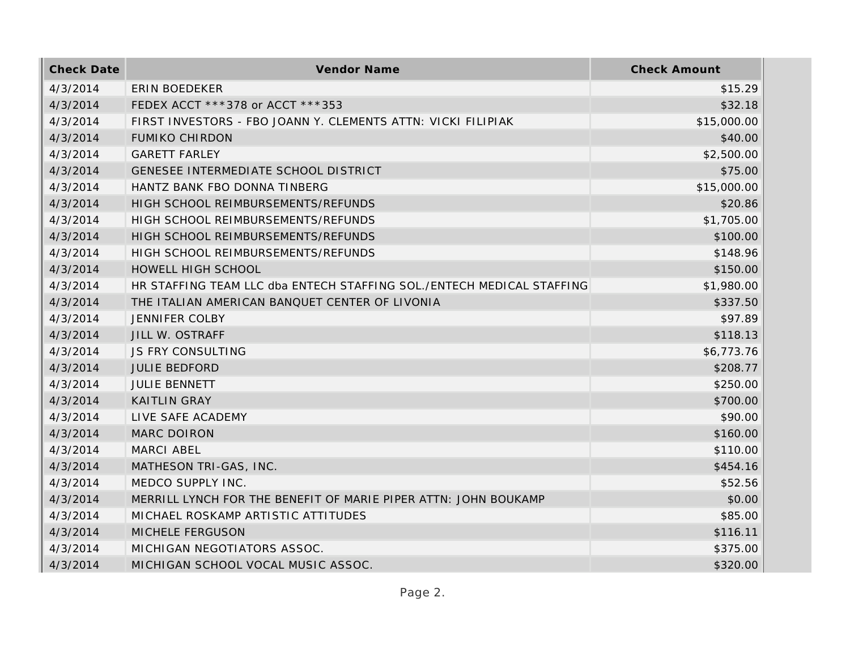| <b>Check Date</b> | Vendor Name                                                           | <b>Check Amount</b> |
|-------------------|-----------------------------------------------------------------------|---------------------|
| 4/3/2014          | <b>ERIN BOEDEKER</b>                                                  | \$15.29             |
| 4/3/2014          | FEDEX ACCT ***378 or ACCT ***353                                      | \$32.18             |
| 4/3/2014          | FIRST INVESTORS - FBO JOANN Y. CLEMENTS ATTN: VICKI FILIPIAK          | \$15,000.00         |
| 4/3/2014          | <b>FUMIKO CHIRDON</b>                                                 | \$40.00             |
| 4/3/2014          | <b>GARETT FARLEY</b>                                                  | \$2,500.00          |
| 4/3/2014          | GENESEE INTERMEDIATE SCHOOL DISTRICT                                  | \$75.00             |
| 4/3/2014          | HANTZ BANK FBO DONNA TINBERG                                          | \$15,000.00         |
| 4/3/2014          | HIGH SCHOOL REIMBURSEMENTS/REFUNDS                                    | \$20.86             |
| 4/3/2014          | HIGH SCHOOL REIMBURSEMENTS/REFUNDS                                    | \$1,705.00          |
| 4/3/2014          | HIGH SCHOOL REIMBURSEMENTS/REFUNDS                                    | \$100.00            |
| 4/3/2014          | HIGH SCHOOL REIMBURSEMENTS/REFUNDS                                    | \$148.96            |
| 4/3/2014          | HOWELL HIGH SCHOOL                                                    | \$150.00            |
| 4/3/2014          | HR STAFFING TEAM LLC dba ENTECH STAFFING SOL./ENTECH MEDICAL STAFFING | \$1,980.00          |
| 4/3/2014          | THE ITALIAN AMERICAN BANQUET CENTER OF LIVONIA                        | \$337.50            |
| 4/3/2014          | <b>JENNIFER COLBY</b>                                                 | \$97.89             |
| 4/3/2014          | JILL W. OSTRAFF                                                       | \$118.13            |
| 4/3/2014          | <b>JS FRY CONSULTING</b>                                              | \$6,773.76          |
| 4/3/2014          | <b>JULIE BEDFORD</b>                                                  | \$208.77            |
| 4/3/2014          | <b>JULIE BENNETT</b>                                                  | \$250.00            |
| 4/3/2014          | <b>KAITLIN GRAY</b>                                                   | \$700.00            |
| 4/3/2014          | LIVE SAFE ACADEMY                                                     | \$90.00             |
| 4/3/2014          | MARC DOIRON                                                           | \$160.00            |
| 4/3/2014          | <b>MARCI ABEL</b>                                                     | \$110.00            |
| 4/3/2014          | MATHESON TRI-GAS, INC.                                                | \$454.16            |
| 4/3/2014          | MEDCO SUPPLY INC.                                                     | \$52.56             |
| 4/3/2014          | MERRILL LYNCH FOR THE BENEFIT OF MARIE PIPER ATTN: JOHN BOUKAMP       | \$0.00              |
| 4/3/2014          | MICHAEL ROSKAMP ARTISTIC ATTITUDES                                    | \$85.00             |
| 4/3/2014          | MICHELE FERGUSON                                                      | \$116.11            |
| 4/3/2014          | MICHIGAN NEGOTIATORS ASSOC.                                           | \$375.00            |
| 4/3/2014          | MICHIGAN SCHOOL VOCAL MUSIC ASSOC.                                    | \$320.00            |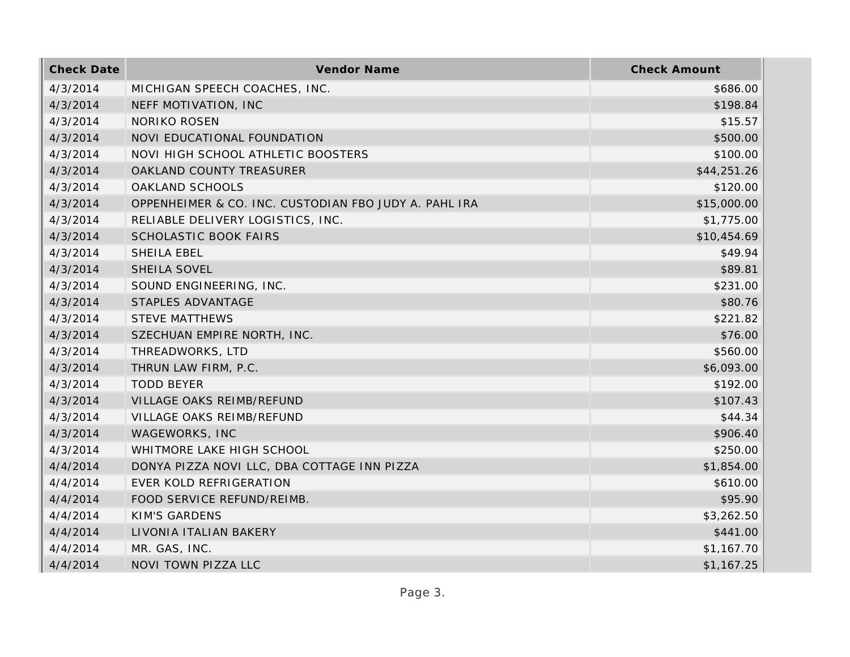| <b>Check Date</b> | Vendor Name                                           | <b>Check Amount</b> |
|-------------------|-------------------------------------------------------|---------------------|
| 4/3/2014          | MICHIGAN SPEECH COACHES, INC.                         | \$686.00            |
| 4/3/2014          | NEFF MOTIVATION, INC                                  | \$198.84            |
| 4/3/2014          | NORIKO ROSEN                                          | \$15.57             |
| 4/3/2014          | NOVI EDUCATIONAL FOUNDATION                           | \$500.00            |
| 4/3/2014          | NOVI HIGH SCHOOL ATHLETIC BOOSTERS                    | \$100.00            |
| 4/3/2014          | OAKLAND COUNTY TREASURER                              | \$44,251.26         |
| 4/3/2014          | OAKLAND SCHOOLS                                       | \$120.00            |
| 4/3/2014          | OPPENHEIMER & CO. INC. CUSTODIAN FBO JUDY A. PAHL IRA | \$15,000.00         |
| 4/3/2014          | RELIABLE DELIVERY LOGISTICS, INC.                     | \$1,775.00          |
| 4/3/2014          | <b>SCHOLASTIC BOOK FAIRS</b>                          | \$10,454.69         |
| 4/3/2014          | SHEILA EBEL                                           | \$49.94             |
| 4/3/2014          | SHEILA SOVEL                                          | \$89.81             |
| 4/3/2014          | SOUND ENGINEERING, INC.                               | \$231.00            |
| 4/3/2014          | STAPLES ADVANTAGE                                     | \$80.76             |
| 4/3/2014          | <b>STEVE MATTHEWS</b>                                 | \$221.82            |
| 4/3/2014          | SZECHUAN EMPIRE NORTH, INC.                           | \$76.00             |
| 4/3/2014          | THREADWORKS, LTD                                      | \$560.00            |
| 4/3/2014          | THRUN LAW FIRM, P.C.                                  | \$6,093.00          |
| 4/3/2014          | <b>TODD BEYER</b>                                     | \$192.00            |
| 4/3/2014          | VILLAGE OAKS REIMB/REFUND                             | \$107.43            |
| 4/3/2014          | VILLAGE OAKS REIMB/REFUND                             | \$44.34             |
| 4/3/2014          | WAGEWORKS, INC                                        | \$906.40            |
| 4/3/2014          | WHITMORE LAKE HIGH SCHOOL                             | \$250.00            |
| 4/4/2014          | DONYA PIZZA NOVI LLC, DBA COTTAGE INN PIZZA           | \$1,854.00          |
| 4/4/2014          | EVER KOLD REFRIGERATION                               | \$610.00            |
| 4/4/2014          | FOOD SERVICE REFUND/REIMB.                            | \$95.90             |
| 4/4/2014          | <b>KIM'S GARDENS</b>                                  | \$3,262.50          |
| 4/4/2014          | LIVONIA ITALIAN BAKERY                                | \$441.00            |
| 4/4/2014          | MR. GAS, INC.                                         | \$1,167.70          |
| 4/4/2014          | NOVI TOWN PIZZA LLC                                   | \$1,167.25          |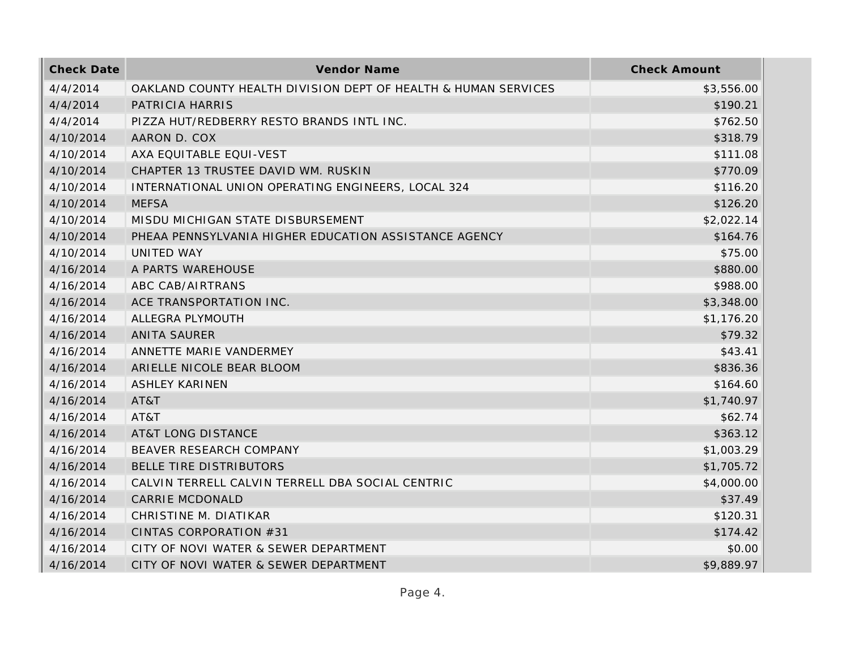| <b>Check Date</b> | Vendor Name                                                    | <b>Check Amount</b> |
|-------------------|----------------------------------------------------------------|---------------------|
| 4/4/2014          | OAKLAND COUNTY HEALTH DIVISION DEPT OF HEALTH & HUMAN SERVICES | \$3,556.00          |
| 4/4/2014          | PATRICIA HARRIS                                                | \$190.21            |
| 4/4/2014          | PIZZA HUT/REDBERRY RESTO BRANDS INTL INC.                      | \$762.50            |
| 4/10/2014         | AARON D. COX                                                   | \$318.79            |
| 4/10/2014         | AXA EQUITABLE EQUI-VEST                                        | \$111.08            |
| 4/10/2014         | CHAPTER 13 TRUSTEE DAVID WM. RUSKIN                            | \$770.09            |
| 4/10/2014         | INTERNATIONAL UNION OPERATING ENGINEERS, LOCAL 324             | \$116.20            |
| 4/10/2014         | <b>MEFSA</b>                                                   | \$126.20            |
| 4/10/2014         | MISDU MICHIGAN STATE DISBURSEMENT                              | \$2,022.14          |
| 4/10/2014         | PHEAA PENNSYLVANIA HIGHER EDUCATION ASSISTANCE AGENCY          | \$164.76            |
| 4/10/2014         | UNITED WAY                                                     | \$75.00             |
| 4/16/2014         | A PARTS WAREHOUSE                                              | \$880.00            |
| 4/16/2014         | ABC CAB/AIRTRANS                                               | \$988.00            |
| 4/16/2014         | ACE TRANSPORTATION INC.                                        | \$3,348.00          |
| 4/16/2014         | ALLEGRA PLYMOUTH                                               | \$1,176.20          |
| 4/16/2014         | <b>ANITA SAURER</b>                                            | \$79.32             |
| 4/16/2014         | ANNETTE MARIE VANDERMEY                                        | \$43.41             |
| 4/16/2014         | ARIELLE NICOLE BEAR BLOOM                                      | \$836.36            |
| 4/16/2014         | <b>ASHLEY KARINEN</b>                                          | \$164.60            |
| 4/16/2014         | AT&T                                                           | \$1,740.97          |
| 4/16/2014         | AT&T                                                           | \$62.74             |
| 4/16/2014         | <b>AT&amp;T LONG DISTANCE</b>                                  | \$363.12            |
| 4/16/2014         | BEAVER RESEARCH COMPANY                                        | \$1,003.29          |
| 4/16/2014         | BELLE TIRE DISTRIBUTORS                                        | \$1,705.72          |
| 4/16/2014         | CALVIN TERRELL CALVIN TERRELL DBA SOCIAL CENTRIC               | \$4,000.00          |
| 4/16/2014         | <b>CARRIE MCDONALD</b>                                         | \$37.49             |
| 4/16/2014         | CHRISTINE M. DIATIKAR                                          | \$120.31            |
| 4/16/2014         | CINTAS CORPORATION #31                                         | \$174.42            |
| 4/16/2014         | CITY OF NOVI WATER & SEWER DEPARTMENT                          | \$0.00              |
| 4/16/2014         | CITY OF NOVI WATER & SEWER DEPARTMENT                          | \$9,889.97          |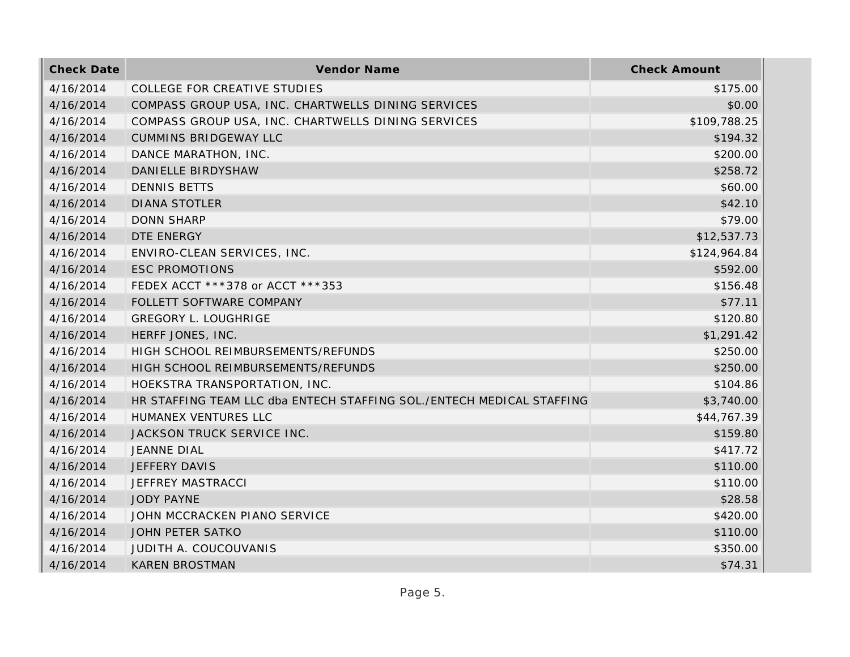| <b>Check Date</b> | Vendor Name                                                           | <b>Check Amount</b> |
|-------------------|-----------------------------------------------------------------------|---------------------|
| 4/16/2014         | COLLEGE FOR CREATIVE STUDIES                                          | \$175.00            |
| 4/16/2014         | COMPASS GROUP USA, INC. CHARTWELLS DINING SERVICES                    | \$0.00              |
| 4/16/2014         | COMPASS GROUP USA, INC. CHARTWELLS DINING SERVICES                    | \$109,788.25        |
| 4/16/2014         | <b>CUMMINS BRIDGEWAY LLC</b>                                          | \$194.32            |
| 4/16/2014         | DANCE MARATHON, INC.                                                  | \$200.00            |
| 4/16/2014         | DANIELLE BIRDYSHAW                                                    | \$258.72            |
| 4/16/2014         | <b>DENNIS BETTS</b>                                                   | \$60.00             |
| 4/16/2014         | <b>DIANA STOTLER</b>                                                  | \$42.10             |
| 4/16/2014         | <b>DONN SHARP</b>                                                     | \$79.00             |
| 4/16/2014         | DTE ENERGY                                                            | \$12,537.73         |
| 4/16/2014         | ENVIRO-CLEAN SERVICES, INC.                                           | \$124,964.84        |
| 4/16/2014         | <b>ESC PROMOTIONS</b>                                                 | \$592.00            |
| 4/16/2014         | FEDEX ACCT ***378 or ACCT ***353                                      | \$156.48            |
| 4/16/2014         | FOLLETT SOFTWARE COMPANY                                              | \$77.11             |
| 4/16/2014         | <b>GREGORY L. LOUGHRIGE</b>                                           | \$120.80            |
| 4/16/2014         | HERFF JONES, INC.                                                     | \$1,291.42          |
| 4/16/2014         | HIGH SCHOOL REIMBURSEMENTS/REFUNDS                                    | \$250.00            |
| 4/16/2014         | HIGH SCHOOL REIMBURSEMENTS/REFUNDS                                    | \$250.00            |
| 4/16/2014         | HOEKSTRA TRANSPORTATION, INC.                                         | \$104.86            |
| 4/16/2014         | HR STAFFING TEAM LLC dba ENTECH STAFFING SOL./ENTECH MEDICAL STAFFING | \$3,740.00          |
| 4/16/2014         | HUMANEX VENTURES LLC                                                  | \$44,767.39         |
| 4/16/2014         | JACKSON TRUCK SERVICE INC.                                            | \$159.80            |
| 4/16/2014         | <b>JEANNE DIAL</b>                                                    | \$417.72            |
| 4/16/2014         | JEFFERY DAVIS                                                         | \$110.00            |
| 4/16/2014         | JEFFREY MASTRACCI                                                     | \$110.00            |
| 4/16/2014         | <b>JODY PAYNE</b>                                                     | \$28.58             |
| 4/16/2014         | JOHN MCCRACKEN PIANO SERVICE                                          | \$420.00            |
| 4/16/2014         | JOHN PETER SATKO                                                      | \$110.00            |
| 4/16/2014         | JUDITH A. COUCOUVANIS                                                 | \$350.00            |
| 4/16/2014         | <b>KAREN BROSTMAN</b>                                                 | \$74.31             |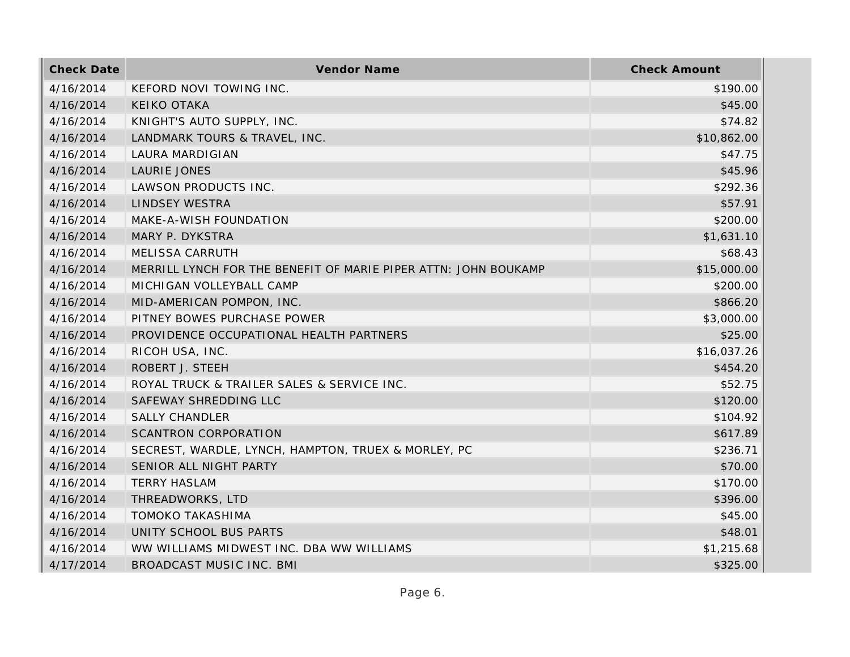| <b>Check Date</b> | Vendor Name                                                     | <b>Check Amount</b> |
|-------------------|-----------------------------------------------------------------|---------------------|
| 4/16/2014         | KEFORD NOVI TOWING INC.                                         | \$190.00            |
| 4/16/2014         | <b>KEIKO OTAKA</b>                                              | \$45.00             |
| 4/16/2014         | KNIGHT'S AUTO SUPPLY, INC.                                      | \$74.82             |
| 4/16/2014         | LANDMARK TOURS & TRAVEL, INC.                                   | \$10,862.00         |
| 4/16/2014         | LAURA MARDIGIAN                                                 | \$47.75             |
| 4/16/2014         | <b>LAURIE JONES</b>                                             | \$45.96             |
| 4/16/2014         | LAWSON PRODUCTS INC.                                            | \$292.36            |
| 4/16/2014         | <b>LINDSEY WESTRA</b>                                           | \$57.91             |
| 4/16/2014         | MAKE-A-WISH FOUNDATION                                          | \$200.00            |
| 4/16/2014         | MARY P. DYKSTRA                                                 | \$1,631.10          |
| 4/16/2014         | <b>MELISSA CARRUTH</b>                                          | \$68.43             |
| 4/16/2014         | MERRILL LYNCH FOR THE BENEFIT OF MARIE PIPER ATTN: JOHN BOUKAMP | \$15,000.00         |
| 4/16/2014         | MICHIGAN VOLLEYBALL CAMP                                        | \$200.00            |
| 4/16/2014         | MID-AMERICAN POMPON, INC.                                       | \$866.20            |
| 4/16/2014         | PITNEY BOWES PURCHASE POWER                                     | \$3,000.00          |
| 4/16/2014         | PROVIDENCE OCCUPATIONAL HEALTH PARTNERS                         | \$25.00             |
| 4/16/2014         | RICOH USA, INC.                                                 | \$16,037.26         |
| 4/16/2014         | ROBERT J. STEEH                                                 | \$454.20            |
| 4/16/2014         | ROYAL TRUCK & TRAILER SALES & SERVICE INC.                      | \$52.75             |
| 4/16/2014         | SAFEWAY SHREDDING LLC                                           | \$120.00            |
| 4/16/2014         | <b>SALLY CHANDLER</b>                                           | \$104.92            |
| 4/16/2014         | <b>SCANTRON CORPORATION</b>                                     | \$617.89            |
| 4/16/2014         | SECREST, WARDLE, LYNCH, HAMPTON, TRUEX & MORLEY, PC             | \$236.71            |
| 4/16/2014         | SENIOR ALL NIGHT PARTY                                          | \$70.00             |
| 4/16/2014         | <b>TERRY HASLAM</b>                                             | \$170.00            |
| 4/16/2014         | THREADWORKS, LTD                                                | \$396.00            |
| 4/16/2014         | <b>TOMOKO TAKASHIMA</b>                                         | \$45.00             |
| 4/16/2014         | UNITY SCHOOL BUS PARTS                                          | \$48.01             |
| 4/16/2014         | WW WILLIAMS MIDWEST INC. DBA WW WILLIAMS                        | \$1,215.68          |
| 4/17/2014         | BROADCAST MUSIC INC. BMI                                        | \$325.00            |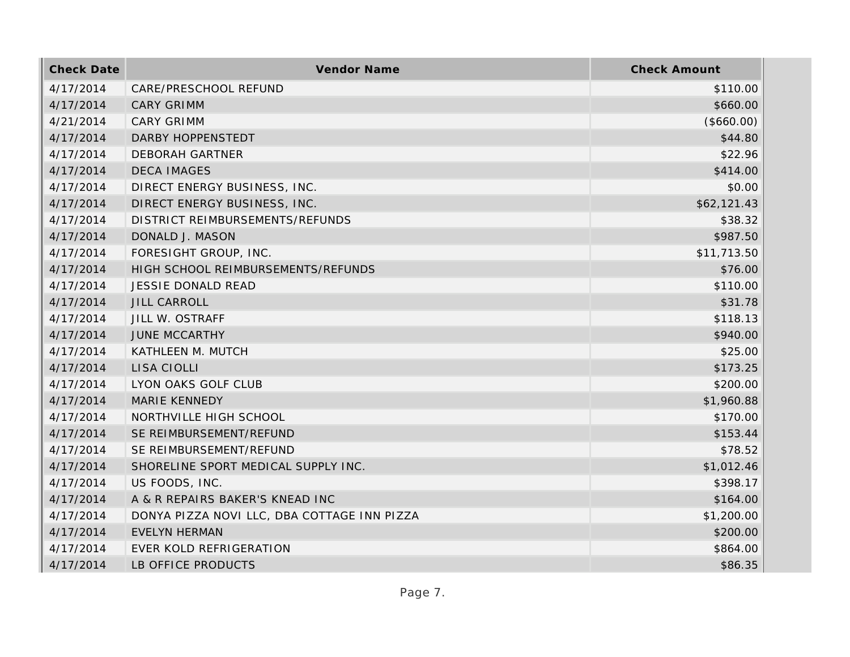| <b>Check Date</b> | Vendor Name                                 | <b>Check Amount</b> |
|-------------------|---------------------------------------------|---------------------|
| 4/17/2014         | CARE/PRESCHOOL REFUND                       | \$110.00            |
| 4/17/2014         | <b>CARY GRIMM</b>                           | \$660.00            |
| 4/21/2014         | <b>CARY GRIMM</b>                           | (\$660.00)          |
| 4/17/2014         | <b>DARBY HOPPENSTEDT</b>                    | \$44.80             |
| 4/17/2014         | <b>DEBORAH GARTNER</b>                      | \$22.96             |
| 4/17/2014         | <b>DECA IMAGES</b>                          | \$414.00            |
| 4/17/2014         | DIRECT ENERGY BUSINESS, INC.                | \$0.00              |
| 4/17/2014         | DIRECT ENERGY BUSINESS, INC.                | \$62,121.43         |
| 4/17/2014         | DISTRICT REIMBURSEMENTS/REFUNDS             | \$38.32             |
| 4/17/2014         | DONALD J. MASON                             | \$987.50            |
| 4/17/2014         | FORESIGHT GROUP, INC.                       | \$11,713.50         |
| 4/17/2014         | HIGH SCHOOL REIMBURSEMENTS/REFUNDS          | \$76.00             |
| 4/17/2014         | <b>JESSIE DONALD READ</b>                   | \$110.00            |
| 4/17/2014         | <b>JILL CARROLL</b>                         | \$31.78             |
| 4/17/2014         | JILL W. OSTRAFF                             | \$118.13            |
| 4/17/2014         | <b>JUNE MCCARTHY</b>                        | \$940.00            |
| 4/17/2014         | KATHLEEN M. MUTCH                           | \$25.00             |
| 4/17/2014         | LISA CIOLLI                                 | \$173.25            |
| 4/17/2014         | LYON OAKS GOLF CLUB                         | \$200.00            |
| 4/17/2014         | MARIE KENNEDY                               | \$1,960.88          |
| 4/17/2014         | NORTHVILLE HIGH SCHOOL                      | \$170.00            |
| 4/17/2014         | SE REIMBURSEMENT/REFUND                     | \$153.44            |
| 4/17/2014         | SE REIMBURSEMENT/REFUND                     | \$78.52             |
| 4/17/2014         | SHORELINE SPORT MEDICAL SUPPLY INC.         | \$1,012.46          |
| 4/17/2014         | US FOODS, INC.                              | \$398.17            |
| 4/17/2014         | A & R REPAIRS BAKER'S KNEAD INC             | \$164.00            |
| 4/17/2014         | DONYA PIZZA NOVI LLC, DBA COTTAGE INN PIZZA | \$1,200.00          |
| 4/17/2014         | <b>EVELYN HERMAN</b>                        | \$200.00            |
| 4/17/2014         | EVER KOLD REFRIGERATION                     | \$864.00            |
| 4/17/2014         | LB OFFICE PRODUCTS                          | \$86.35             |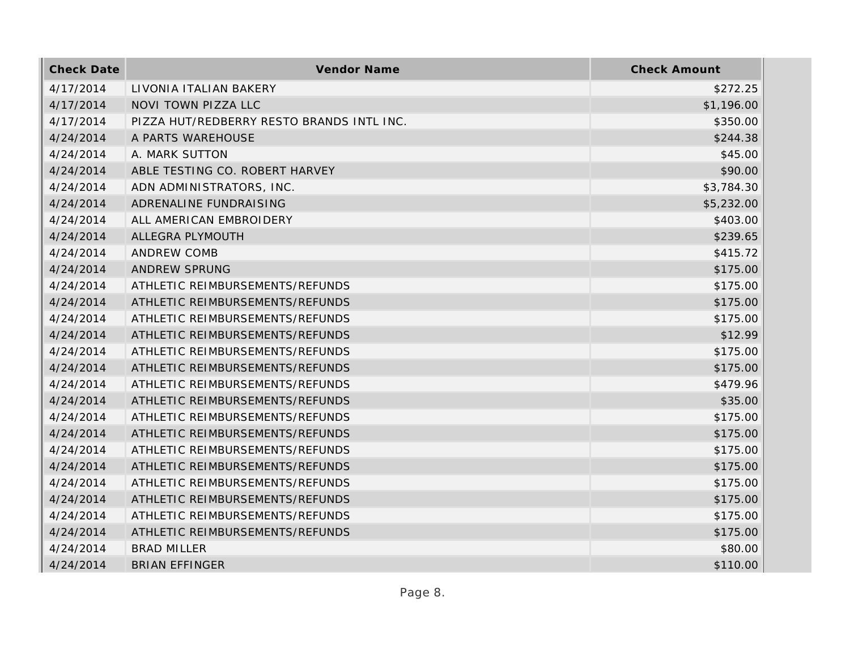| <b>Check Date</b> | Vendor Name                               | <b>Check Amount</b> |
|-------------------|-------------------------------------------|---------------------|
| 4/17/2014         | LIVONIA ITALIAN BAKERY                    | \$272.25            |
| 4/17/2014         | <b>NOVI TOWN PIZZA LLC</b>                | \$1,196.00          |
| 4/17/2014         | PIZZA HUT/REDBERRY RESTO BRANDS INTL INC. | \$350.00            |
| 4/24/2014         | A PARTS WAREHOUSE                         | \$244.38            |
| 4/24/2014         | A. MARK SUTTON                            | \$45.00             |
| 4/24/2014         | ABLE TESTING CO. ROBERT HARVEY            | \$90.00             |
| 4/24/2014         | ADN ADMINISTRATORS, INC.                  | \$3,784.30          |
| 4/24/2014         | ADRENALINE FUNDRAISING                    | \$5,232.00          |
| 4/24/2014         | ALL AMERICAN EMBROIDERY                   | \$403.00            |
| 4/24/2014         | ALLEGRA PLYMOUTH                          | \$239.65            |
| 4/24/2014         | <b>ANDREW COMB</b>                        | \$415.72            |
| 4/24/2014         | <b>ANDREW SPRUNG</b>                      | \$175.00            |
| 4/24/2014         | ATHLETIC REIMBURSEMENTS/REFUNDS           | \$175.00            |
| 4/24/2014         | ATHLETIC REIMBURSEMENTS/REFUNDS           | \$175.00            |
| 4/24/2014         | ATHLETIC REIMBURSEMENTS/REFUNDS           | \$175.00            |
| 4/24/2014         | ATHLETIC REIMBURSEMENTS/REFUNDS           | \$12.99             |
| 4/24/2014         | ATHLETIC REIMBURSEMENTS/REFUNDS           | \$175.00            |
| 4/24/2014         | ATHLETIC REIMBURSEMENTS/REFUNDS           | \$175.00            |
| 4/24/2014         | ATHLETIC REIMBURSEMENTS/REFUNDS           | \$479.96            |
| 4/24/2014         | ATHLETIC REIMBURSEMENTS/REFUNDS           | \$35.00             |
| 4/24/2014         | ATHLETIC REIMBURSEMENTS/REFUNDS           | \$175.00            |
| 4/24/2014         | ATHLETIC REIMBURSEMENTS/REFUNDS           | \$175.00            |
| 4/24/2014         | ATHLETIC REIMBURSEMENTS/REFUNDS           | \$175.00            |
| 4/24/2014         | ATHLETIC REIMBURSEMENTS/REFUNDS           | \$175.00            |
| 4/24/2014         | ATHLETIC REIMBURSEMENTS/REFUNDS           | \$175.00            |
| 4/24/2014         | ATHLETIC REIMBURSEMENTS/REFUNDS           | \$175.00            |
| 4/24/2014         | ATHLETIC REIMBURSEMENTS/REFUNDS           | \$175.00            |
| 4/24/2014         | ATHLETIC REIMBURSEMENTS/REFUNDS           | \$175.00            |
| 4/24/2014         | <b>BRAD MILLER</b>                        | \$80.00             |
| 4/24/2014         | <b>BRIAN EFFINGER</b>                     | \$110.00            |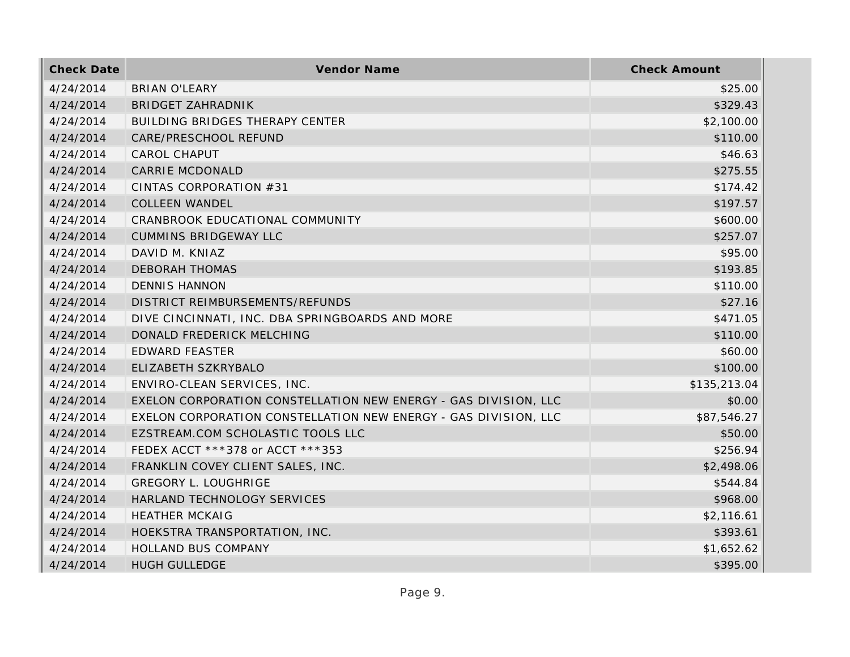| <b>Check Date</b> | Vendor Name                                                     | <b>Check Amount</b> |
|-------------------|-----------------------------------------------------------------|---------------------|
| 4/24/2014         | <b>BRIAN O'LEARY</b>                                            | \$25.00             |
| 4/24/2014         | <b>BRIDGET ZAHRADNIK</b>                                        | \$329.43            |
| 4/24/2014         | BUILDING BRIDGES THERAPY CENTER                                 | \$2,100.00          |
| 4/24/2014         | CARE/PRESCHOOL REFUND                                           | \$110.00            |
| 4/24/2014         | <b>CAROL CHAPUT</b>                                             | \$46.63             |
| 4/24/2014         | <b>CARRIE MCDONALD</b>                                          | \$275.55            |
| 4/24/2014         | CINTAS CORPORATION #31                                          | \$174.42            |
| 4/24/2014         | <b>COLLEEN WANDEL</b>                                           | \$197.57            |
| 4/24/2014         | CRANBROOK EDUCATIONAL COMMUNITY                                 | \$600.00            |
| 4/24/2014         | <b>CUMMINS BRIDGEWAY LLC</b>                                    | \$257.07            |
| 4/24/2014         | DAVID M. KNIAZ                                                  | \$95.00             |
| 4/24/2014         | <b>DEBORAH THOMAS</b>                                           | \$193.85            |
| 4/24/2014         | <b>DENNIS HANNON</b>                                            | \$110.00            |
| 4/24/2014         | DISTRICT REIMBURSEMENTS/REFUNDS                                 | \$27.16             |
| 4/24/2014         | DIVE CINCINNATI, INC. DBA SPRINGBOARDS AND MORE                 | \$471.05            |
| 4/24/2014         | DONALD FREDERICK MELCHING                                       | \$110.00            |
| 4/24/2014         | <b>EDWARD FEASTER</b>                                           | \$60.00             |
| 4/24/2014         | ELIZABETH SZKRYBALO                                             | \$100.00            |
| 4/24/2014         | ENVIRO-CLEAN SERVICES, INC.                                     | \$135,213.04        |
| 4/24/2014         | EXELON CORPORATION CONSTELLATION NEW ENERGY - GAS DIVISION, LLC | \$0.00              |
| 4/24/2014         | EXELON CORPORATION CONSTELLATION NEW ENERGY - GAS DIVISION, LLC | \$87,546.27         |
| 4/24/2014         | EZSTREAM.COM SCHOLASTIC TOOLS LLC                               | \$50.00             |
| 4/24/2014         | FEDEX ACCT ***378 or ACCT ***353                                | \$256.94            |
| 4/24/2014         | FRANKLIN COVEY CLIENT SALES, INC.                               | \$2,498.06          |
| 4/24/2014         | <b>GREGORY L. LOUGHRIGE</b>                                     | \$544.84            |
| 4/24/2014         | HARLAND TECHNOLOGY SERVICES                                     | \$968.00            |
| 4/24/2014         | <b>HEATHER MCKAIG</b>                                           | \$2,116.61          |
| 4/24/2014         | HOEKSTRA TRANSPORTATION, INC.                                   | \$393.61            |
| 4/24/2014         | HOLLAND BUS COMPANY                                             | \$1,652.62          |
| 4/24/2014         | <b>HUGH GULLEDGE</b>                                            | \$395.00            |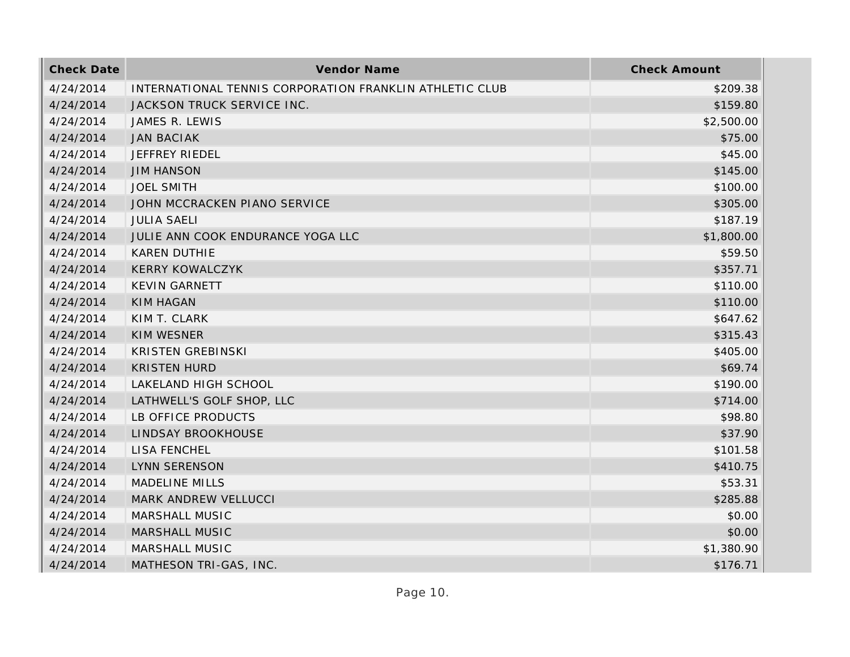| <b>Check Date</b> | Vendor Name                                             | <b>Check Amount</b> |
|-------------------|---------------------------------------------------------|---------------------|
| 4/24/2014         | INTERNATIONAL TENNIS CORPORATION FRANKLIN ATHLETIC CLUB | \$209.38            |
| 4/24/2014         | JACKSON TRUCK SERVICE INC.                              | \$159.80            |
| 4/24/2014         | JAMES R. LEWIS                                          | \$2,500.00          |
| 4/24/2014         | <b>JAN BACIAK</b>                                       | \$75.00             |
| 4/24/2014         | JEFFREY RIEDEL                                          | \$45.00             |
| 4/24/2014         | <b>JIM HANSON</b>                                       | \$145.00            |
| 4/24/2014         | <b>JOEL SMITH</b>                                       | \$100.00            |
| 4/24/2014         | JOHN MCCRACKEN PIANO SERVICE                            | \$305.00            |
| 4/24/2014         | <b>JULIA SAELI</b>                                      | \$187.19            |
| 4/24/2014         | JULIE ANN COOK ENDURANCE YOGA LLC                       | \$1,800.00          |
| 4/24/2014         | KAREN DUTHIE                                            | \$59.50             |
| 4/24/2014         | <b>KERRY KOWALCZYK</b>                                  | \$357.71            |
| 4/24/2014         | <b>KEVIN GARNETT</b>                                    | \$110.00            |
| 4/24/2014         | <b>KIM HAGAN</b>                                        | \$110.00            |
| 4/24/2014         | KIM T. CLARK                                            | \$647.62            |
| 4/24/2014         | <b>KIM WESNER</b>                                       | \$315.43            |
| 4/24/2014         | <b>KRISTEN GREBINSKI</b>                                | \$405.00            |
| 4/24/2014         | <b>KRISTEN HURD</b>                                     | \$69.74             |
| 4/24/2014         | LAKELAND HIGH SCHOOL                                    | \$190.00            |
| 4/24/2014         | LATHWELL'S GOLF SHOP, LLC                               | \$714.00            |
| 4/24/2014         | LB OFFICE PRODUCTS                                      | \$98.80             |
| 4/24/2014         | LINDSAY BROOKHOUSE                                      | \$37.90             |
| 4/24/2014         | LISA FENCHEL                                            | \$101.58            |
| 4/24/2014         | <b>LYNN SERENSON</b>                                    | \$410.75            |
| 4/24/2014         | <b>MADELINE MILLS</b>                                   | \$53.31             |
| 4/24/2014         | MARK ANDREW VELLUCCI                                    | \$285.88            |
| 4/24/2014         | MARSHALL MUSIC                                          | \$0.00              |
| 4/24/2014         | MARSHALL MUSIC                                          | \$0.00              |
| 4/24/2014         | MARSHALL MUSIC                                          | \$1,380.90          |
| 4/24/2014         | MATHESON TRI-GAS, INC.                                  | \$176.71            |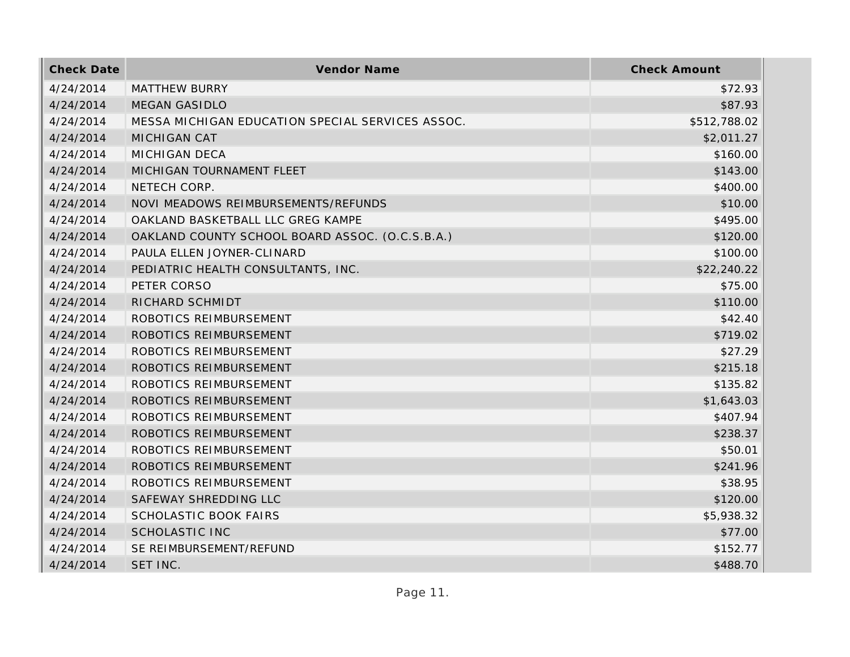| <b>Check Date</b> | Vendor Name                                      | <b>Check Amount</b> |
|-------------------|--------------------------------------------------|---------------------|
| 4/24/2014         | <b>MATTHEW BURRY</b>                             | \$72.93             |
| 4/24/2014         | <b>MEGAN GASIDLO</b>                             | \$87.93             |
| 4/24/2014         | MESSA MICHIGAN EDUCATION SPECIAL SERVICES ASSOC. | \$512,788.02        |
| 4/24/2014         | <b>MICHIGAN CAT</b>                              | \$2,011.27          |
| 4/24/2014         | <b>MICHIGAN DECA</b>                             | \$160.00            |
| 4/24/2014         | MICHIGAN TOURNAMENT FLEET                        | \$143.00            |
| 4/24/2014         | NETECH CORP.                                     | \$400.00            |
| 4/24/2014         | NOVI MEADOWS REIMBURSEMENTS/REFUNDS              | \$10.00             |
| 4/24/2014         | OAKLAND BASKETBALL LLC GREG KAMPE                | \$495.00            |
| 4/24/2014         | OAKLAND COUNTY SCHOOL BOARD ASSOC. (O.C.S.B.A.)  | \$120.00            |
| 4/24/2014         | PAULA ELLEN JOYNER-CLINARD                       | \$100.00            |
| 4/24/2014         | PEDIATRIC HEALTH CONSULTANTS, INC.               | \$22,240.22         |
| 4/24/2014         | PETER CORSO                                      | \$75.00             |
| 4/24/2014         | RICHARD SCHMIDT                                  | \$110.00            |
| 4/24/2014         | ROBOTICS REIMBURSEMENT                           | \$42.40             |
| 4/24/2014         | ROBOTICS REIMBURSEMENT                           | \$719.02            |
| 4/24/2014         | ROBOTICS REIMBURSEMENT                           | \$27.29             |
| 4/24/2014         | ROBOTICS REIMBURSEMENT                           | \$215.18            |
| 4/24/2014         | ROBOTICS REIMBURSEMENT                           | \$135.82            |
| 4/24/2014         | ROBOTICS REIMBURSEMENT                           | \$1,643.03          |
| 4/24/2014         | ROBOTICS REIMBURSEMENT                           | \$407.94            |
| 4/24/2014         | ROBOTICS REIMBURSEMENT                           | \$238.37            |
| 4/24/2014         | ROBOTICS REIMBURSEMENT                           | \$50.01             |
| 4/24/2014         | ROBOTICS REIMBURSEMENT                           | \$241.96            |
| 4/24/2014         | ROBOTICS REIMBURSEMENT                           | \$38.95             |
| 4/24/2014         | SAFEWAY SHREDDING LLC                            | \$120.00            |
| 4/24/2014         | <b>SCHOLASTIC BOOK FAIRS</b>                     | \$5,938.32          |
| 4/24/2014         | <b>SCHOLASTIC INC</b>                            | \$77.00             |
| 4/24/2014         | SE REIMBURSEMENT/REFUND                          | \$152.77            |
| 4/24/2014         | SET INC.                                         | \$488.70            |